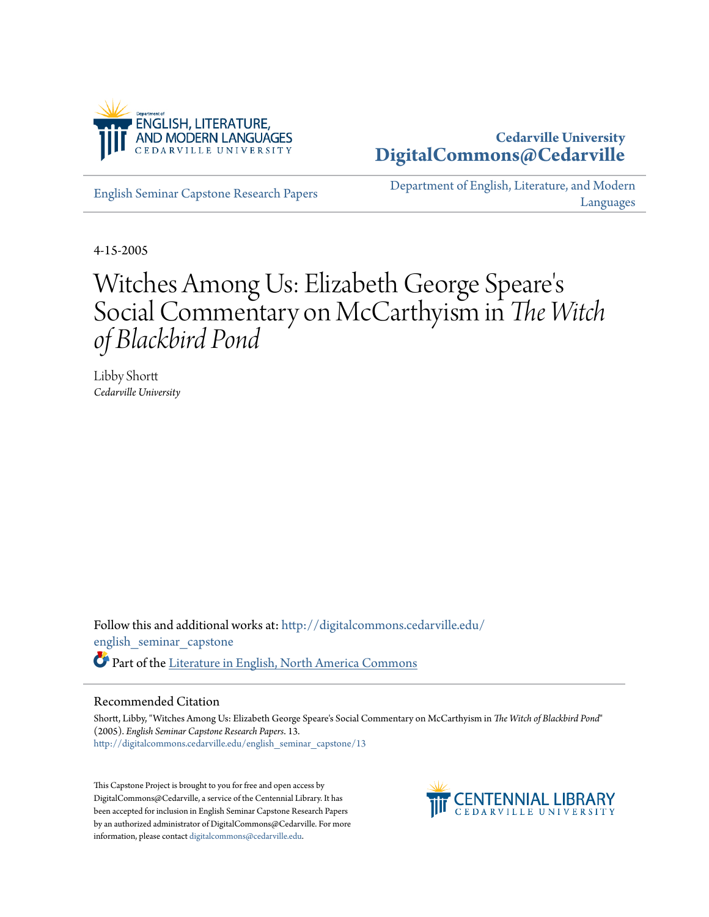

# **Cedarville University [DigitalCommons@Cedarville](http://digitalcommons.cedarville.edu?utm_source=digitalcommons.cedarville.edu%2Fenglish_seminar_capstone%2F13&utm_medium=PDF&utm_campaign=PDFCoverPages)**

[English Seminar Capstone Research Papers](http://digitalcommons.cedarville.edu/english_seminar_capstone?utm_source=digitalcommons.cedarville.edu%2Fenglish_seminar_capstone%2F13&utm_medium=PDF&utm_campaign=PDFCoverPages)

[Department of English, Literature, and Modern](http://digitalcommons.cedarville.edu/english_literature_modern_languages?utm_source=digitalcommons.cedarville.edu%2Fenglish_seminar_capstone%2F13&utm_medium=PDF&utm_campaign=PDFCoverPages) [Languages](http://digitalcommons.cedarville.edu/english_literature_modern_languages?utm_source=digitalcommons.cedarville.edu%2Fenglish_seminar_capstone%2F13&utm_medium=PDF&utm_campaign=PDFCoverPages)

4-15-2005

# Witches Among Us: Elizabeth George Speare ' s Social Commentary on McCarthyism in *The Witch of Blackbird Pond*

Libby Shortt *Cedarville University*

Follow this and additional works at: [http://digitalcommons.cedarville.edu/](http://digitalcommons.cedarville.edu/english_seminar_capstone?utm_source=digitalcommons.cedarville.edu%2Fenglish_seminar_capstone%2F13&utm_medium=PDF&utm_campaign=PDFCoverPages) [english\\_seminar\\_capstone](http://digitalcommons.cedarville.edu/english_seminar_capstone?utm_source=digitalcommons.cedarville.edu%2Fenglish_seminar_capstone%2F13&utm_medium=PDF&utm_campaign=PDFCoverPages) Part of the [Literature in English, North America Commons](http://network.bepress.com/hgg/discipline/458?utm_source=digitalcommons.cedarville.edu%2Fenglish_seminar_capstone%2F13&utm_medium=PDF&utm_campaign=PDFCoverPages)

## Recommended Citation

Shortt, Libby, "Witches Among Us: Elizabeth George Speare's Social Commentary on McCarthyism in *The Witch of Blackbird Pond*" (2005). *English Seminar Capstone Research Papers*. 13. [http://digitalcommons.cedarville.edu/english\\_seminar\\_capstone/13](http://digitalcommons.cedarville.edu/english_seminar_capstone/13?utm_source=digitalcommons.cedarville.edu%2Fenglish_seminar_capstone%2F13&utm_medium=PDF&utm_campaign=PDFCoverPages)

This Capstone Project is brought to you for free and open access by DigitalCommons@Cedarville, a service of the Centennial Library. It has been accepted for inclusion in English Seminar Capstone Research Papers by an authorized administrator of DigitalCommons@Cedarville. For more information, please contact [digitalcommons@cedarville.edu.](mailto:digitalcommons@cedarville.edu)

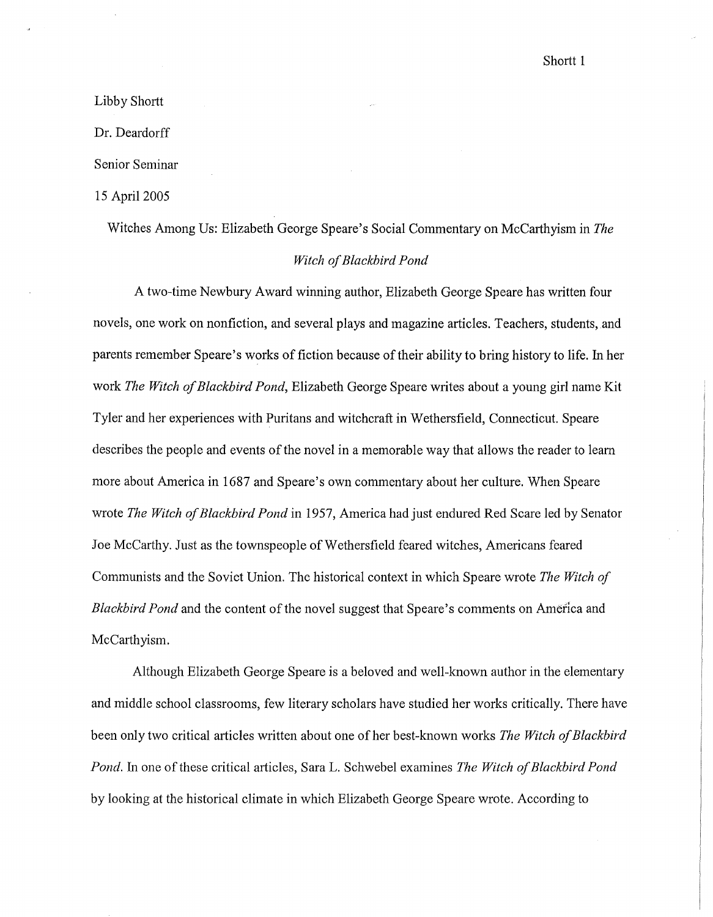Shortt<sub>1</sub>

# Libby Shortt

Dr. Deardorff

Senior Seminar

15 April 2005

Witches Among Us: Elizabeth George Speare's Social Commentary on McCarthyism in *The* 

#### *Witch of Blackbird Pond*

A two-time Newbury Award winning author, Elizabeth George Speare has written four novels, one work on nonfiction, and several plays and magazine articles. Teachers, students, and parents remember Speare's works of fiction because of their ability to bring history to life. In her work *The Witch of Blackbird Pond,* Elizabeth George Speare writes about a young girl name Kit Tyler and her experiences with Puritans and witchcraft in Wethersfield, Connecticut. Speare describes the people and events of the novel in a memorable way that allows the reader to learn more about America in 1687 and Speare's own commentary about her culture. When Speare wrote *The Witch of Blackbird Pond* in 1957, America had just endured Red Scare led by Senator Joe McCarthy. Just as the townspeople of Wethersfield feared witches, Americans feared Communists and the Soviet Union. The historical context in which Speare wrote *The Witch of Blackbird Pond* and the content of the novel suggest that Speare's comments on America and McCarthyism.

Although Elizabeth George Speare is a beloved and well-known author in the elementary and middle school classrooms, few literary scholars have studied her works critically. There have been only two critical articles written about one of her best-known works *The Witch of Blackbird Pond.* In one of these critical articles, Sara L. Schwebel examines *The Witch of Blackbird Pond* by looking at the historical climate in which Elizabeth George Speare wrote. According to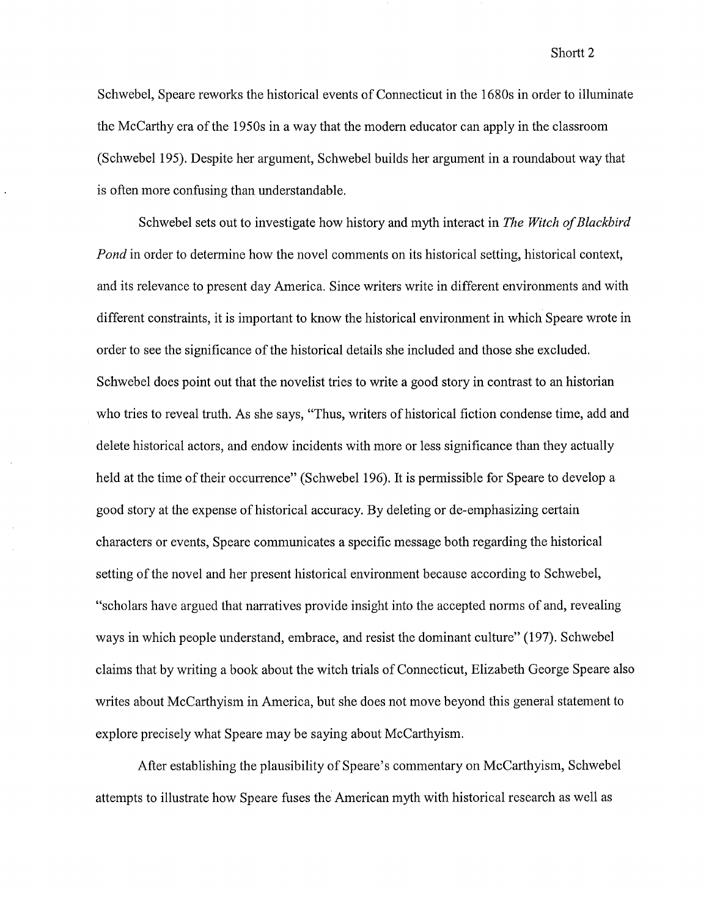### Shortt<sub>2</sub>

Schwebel, Speare reworks the historical events of Connecticut in the 1680s in order to illuminate the McCarthy era of the 1950s in a way that the modem educator can apply in the classroom (Schwebel195). Despite her argument, Schwebel builds her argument in a roundabout way that is often more confusing than understandable.

Schwebel sets out to investigate how history and myth interact in *The Witch of Blackbird Pond* in order to determine how the novel comments on its historical setting, historical context, and its relevance to present day America. Since writers write in different environments and with different constraints, it is important to know the historical environment in which Speare wrote in order to see the significance of the historical details she included and those she excluded. Schwebel does point out that the novelist tries to write a good story in contrast to an historian who tries to reveal truth. As she says, "Thus, writers of historical fiction condense time, add and delete historical actors, and endow incidents with more or less significance than they actually held at the time of their occurrence" (Schwebel 196). It is permissible for Speare to develop a good story at the expense of historical accuracy. By deleting or de-emphasizing certain characters or events, Speare communicates a specific message both regarding the historical setting of the novel and her present historical environment because according to Schwebel, "scholars have argued that narratives provide insight into the accepted norms of and, revealing ways in which people understand, embrace, and resist the dominant culture" (197). Schwebel claims that by writing a book about the witch trials of Connecticut, Elizabeth George Speare also writes about McCarthyism in America, but she does not move beyond this general statement to explore precisely what Speare may be saying about McCarthyism.

After establishing the plausibility of Speare's commentary on McCarthyism, Schwebel attempts to illustrate how Speare fuses the American myth with historical research as well as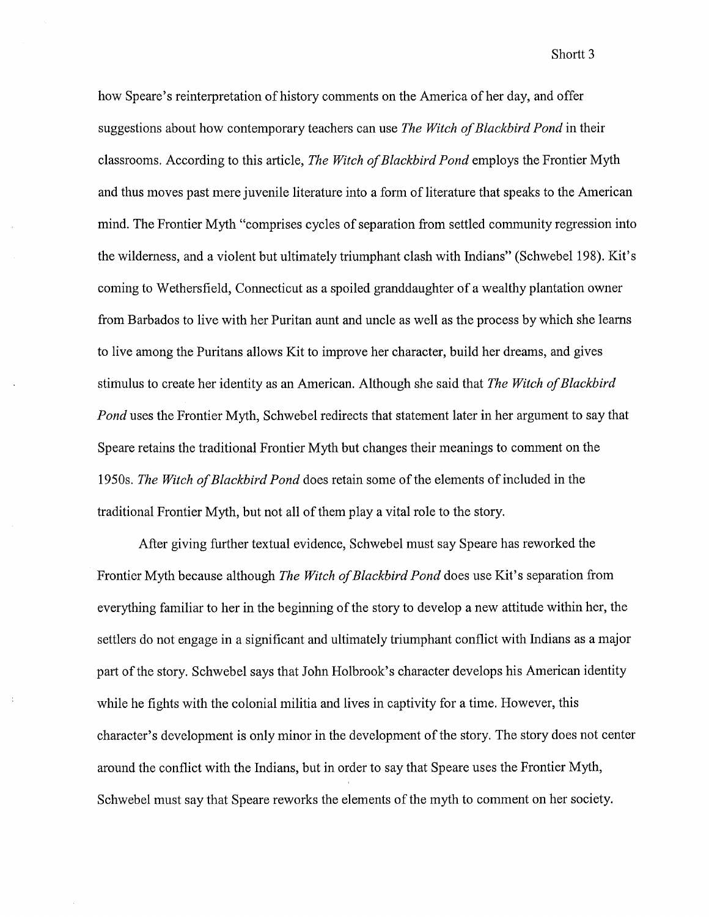how Speare's reinterpretation of history comments on the America of her day, and offer suggestions about how contemporary teachers can use *The Witch of Blackbird Pond* in their classrooms. According to this article, *The Witch of Blackbird Pond* employs the Frontier Myth and thus moves past mere juvenile literature into a form of literature that speaks to the American mind. The Frontier Myth "comprises cycles of separation from settled community regression into the wilderness, and a violent but ultimately triumphant clash with Indians" (Schwebel 198). Kit's coming to Wethersfield, Connecticut as a spoiled granddaughter of a wealthy plantation owner from Barbados to live with her Puritan aunt and uncle as well as the process by which she learns to live among the Puritans allows Kit to improve her character, build her dreams, and gives stimulus to create her identity as an American. Although she said that *The Witch of Blackbird Pond* uses the Frontier Myth, Schwebel redirects that statement later in her argument to say that Speare retains the traditional Frontier Myth but changes their meanings to comment on the 1950s. *The Witch of Blackbird Pond* does retain some of the elements of included in the traditional Frontier Myth, but not all of them play a vital role to the story.

After giving further textual evidence, Schwebel must say Speare has reworked the Frontier Myth because although *The Witch of Blackbird Pond* does use Kit's separation from everything familiar to her in the beginning of the story to develop a new attitude within her, the settlers do not engage in a significant and ultimately triumphant conflict with Indians as a major part of the story. Schwebel says that John Holbrook's character develops his American identity while he fights with the colonial militia and lives in captivity for a time. However, this character's development is only minor in the development of the story. The story does not center around the conflict with the Indians, but in order to say that Speare uses the Frontier Myth, Schwebel must say that Speare reworks the elements of the myth to comment on her society.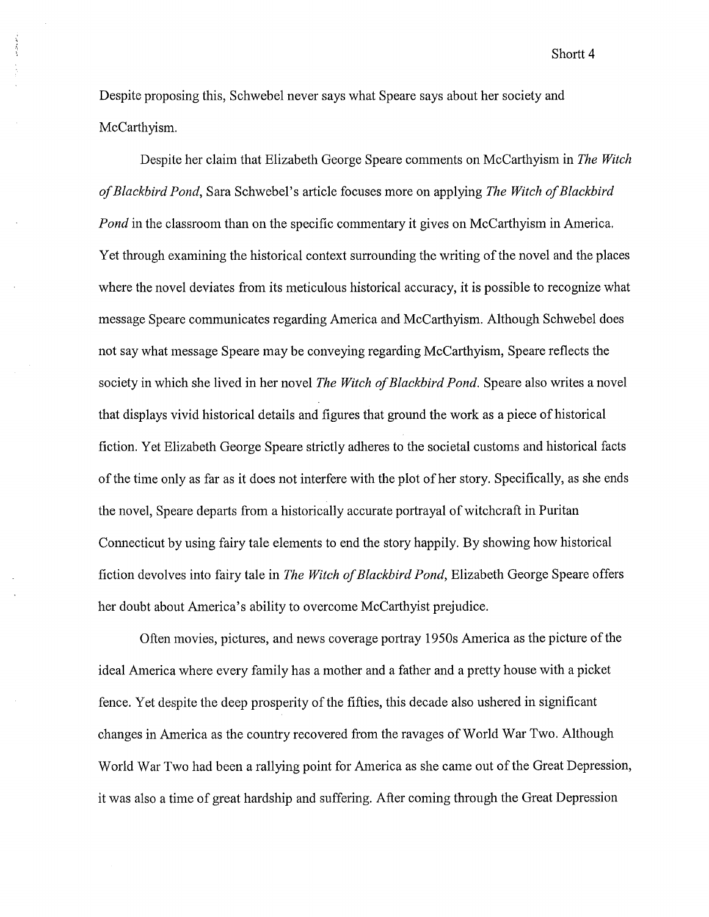Shortt<sub>4</sub>

Despite proposing this, Schwebel never says what Speare says about her society and McCarthyism.

والمعاملة والمراجع

Despite her claim that Elizabeth George Speare comments on McCarthyism in *The Witch of Blackbird Pond,* Sara Schwebel's article focuses more on applying *The Witch of Blackbird Pond* in the classroom than on the specific commentary it gives on McCarthyism in America. Yet through examining the historical context surrounding the writing of the novel and the places where the novel deviates from its meticulous historical accuracy, it is possible to recognize what message Speare communicates regarding America and McCarthyism. Although Schwebel does not say what message Speare may be conveying regarding McCarthyism, Speare reflects the society in which she lived in her novel *The Witch of Blackbird Pond.* Speare also writes a novel that displays vivid historical details and figures that ground the work as a piece of historical fiction. Yet Elizabeth George Speare strictly adheres to the societal customs and historical facts of the time only as far as it does not interfere with the plot of her story. Specifically, as she ends the novel, Speare departs from a historically accurate portrayal of witchcraft in Puritan Connecticut by using fairy tale elements to end the story happily. By showing how historical fiction devolves into fairy tale in *The Witch of Blackbird Pond,* Elizabeth George Speare offers her doubt about America's ability to overcome McCarthyist prejudice.

Often movies, pictures, and news coverage portray 1950s America as the picture of the ideal America where every family has a mother and a father and a pretty house with a picket fence. Yet despite the deep prosperity of the fifties, this decade also ushered in significant changes in America as the country recovered from the ravages of World War Two. Although World War Two had been a rallying point for America as she came out of the Great Depression, it was also a time of great hardship and suffering. After coming through the Great Depression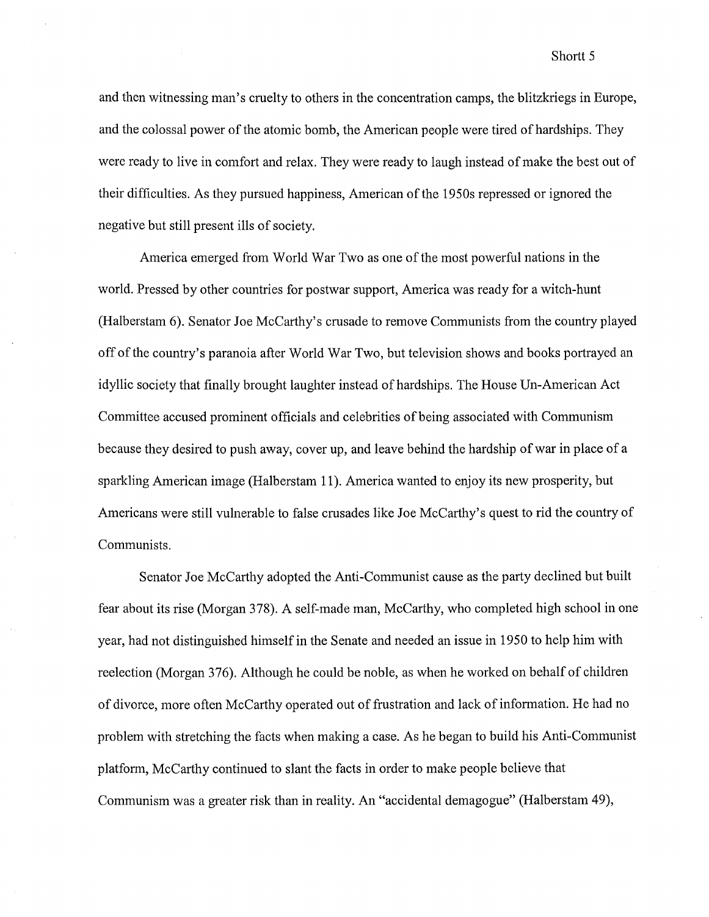and then witnessing man's cruelty to others in the concentration camps, the blitzkriegs in Europe, and the colossal power of the atomic bomb, the American people were tired of hardships. They were ready to live in comfort and relax. They were ready to laugh instead of make the best out of their difficulties. As they pursued happiness, American of the 1950s repressed or ignored the negative but still present ills of society.

America emerged from World War Two as one of the most powerful nations in the world. Pressed by other countries for postwar support, America was ready for a witch-hunt (Halberstam 6). Senator Joe McCarthy's crusade to remove Communists from the country played off of the country's paranoia after World War Two, but television shows and books portrayed an idyllic society that finally brought laughter instead of hardships. The House Un-American Act Committee accused prominent officials and celebrities of being associated with Communism because they desired to push away, cover up, and leave behind the hardship of war in place of a sparkling American image (Halberstam 11). America wanted to enjoy its new prosperity, but Americans were still vulnerable to false crusades like Joe McCarthy's quest to rid the country of Communists.

Senator Joe McCarthy adopted the Anti-Communist cause as the party declined but built fear about its rise (Morgan 378). A self-made man, McCarthy, who completed high school in one year, had not distinguished himself in the Senate and needed an issue in 1950 to help him with reelection (Morgan 376). Although he could be noble, as when he worked on behalf of children of divorce, more often McCarthy operated out of frustration and lack of information. He had no problem with stretching the facts when making a case. As he began to build his Anti-Communist platform, McCarthy continued to slant the facts in order to make people believe that Communism was a greater risk than in reality. An "accidental demagogue" (Halberstam 49),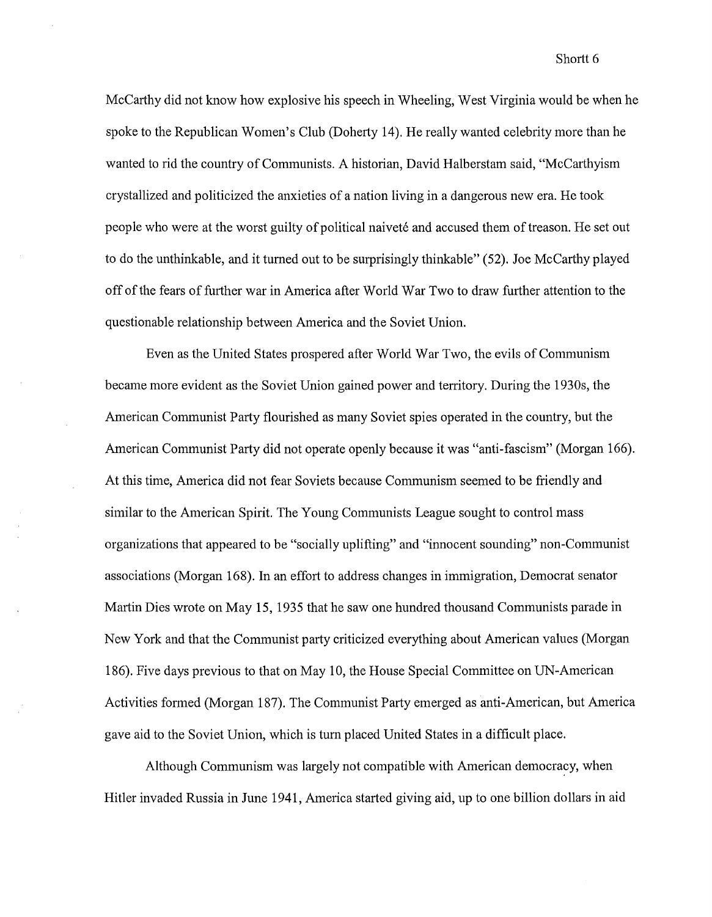Shortt 6

McCarthy did not know how explosive his speech in Wheeling, West Virginia would be when he spoke to the Republican Women's Club (Doherty 14). He really wanted celebrity more than he wanted to rid the country of Communists. A historian, David Halberstam said, "McCarthyism crystallized and politicized the anxieties of a nation living in a dangerous new era. He took people who were at the worst guilty of political naiveté and accused them of treason. He set out to do the unthinkable, and it turned out to be surprisingly thinkable" (52). Joe McCarthy played off of the fears of further war in America after World War Two to draw further attention to the questionable relationship between America and the Soviet Union.

Even as the United States prospered after World War Two, the evils of Communism became more evident as the Soviet Union gained power and territory. During the 1930s, the American Communist Party flourished as many Soviet spies operated in the country, but the American Communist Party did not operate openly because it was "anti-fascism" (Morgan 166). At this time, America did not fear Soviets because Communism seemed to be friendly and similar to the American Spirit. The Young Communists League sought to control mass organizations that appeared to be "socially uplifting" and "innocent sounding" non-Communist associations (Morgan 168). In an effort to address changes in immigration, Democrat senator Martin Dies wrote on May 15, 1935 that he saw one hundred thousand Communists parade in New York and that the Communist party criticized everything about American values (Morgan 186). Five days previous to that on May 10, the House Special Committee on UN-American Activities formed (Morgan 187). The Communist Party emerged as anti-American, but America gave aid to the Soviet Union, which is tum placed United States in a difficult place.

Although Communism was largely not compatible with American democracy, when Hitler invaded Russia in June 1941, America started giving aid, up to one billion dollars in aid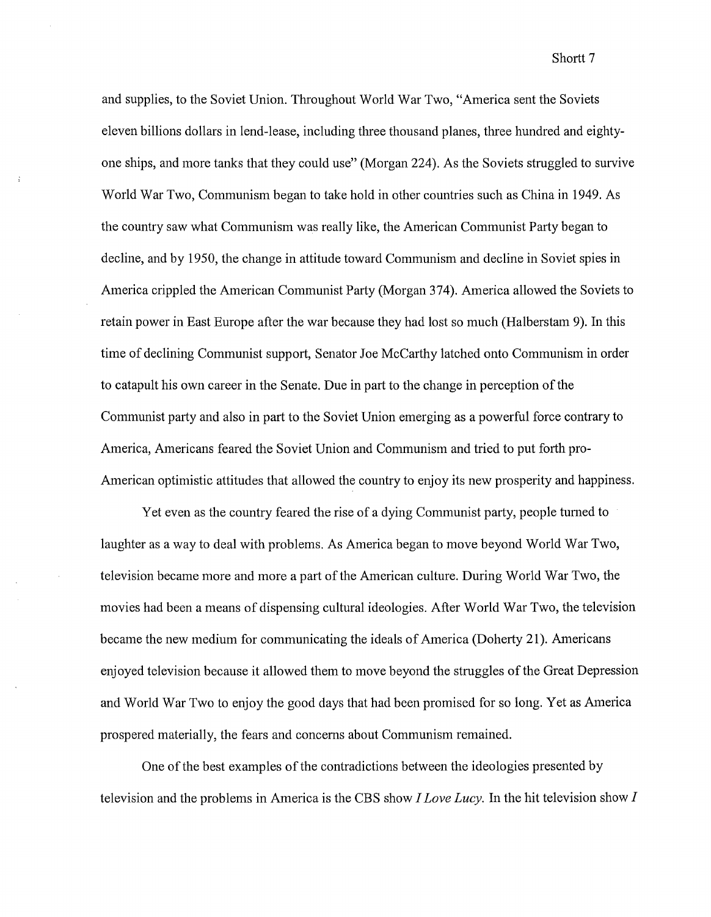Shortt<sub>7</sub>

and supplies, to the Soviet Union. Throughout World War Two, "America sent the Soviets eleven billions dollars in lend-lease, including three thousand planes, three hundred and eightyone ships, and more tanks that they could use" (Morgan 224). As the Soviets struggled to survive World War Two, Communism began to take hold in other countries such as China in 1949. As the country saw what Communism was really like, the American Communist Party began to decline, and by 1950, the change in attitude toward Communism and decline in Soviet spies in America crippled the American Communist Party (Morgan 374). America allowed the Soviets to retain power in East Europe after the war because they had lost so much (Halberstam 9). In this time of declining Communist support, Senator Joe McCarthy latched onto Communism in order to catapult his own career in the Senate. Due in part to the change in perception of the Communist party and also in part to the Soviet Union emerging as a powerful force contrary to America, Americans feared the Soviet Union and Communism and tried to put forth pro-American optimistic attitudes that allowed the country to enjoy its new prosperity and happiness.

Yet even as the country feared the rise of a dying Communist party, people turned to laughter as a way to deal with problems. As America began to move beyond World War Two, television became more and more a part of the American culture. During World War Two, the movies had been a means of dispensing cultural ideologies. After World War Two, the television became the new medium for communicating the ideals of America (Doherty 21 ). Americans enjoyed television because it allowed them to move beyond the struggles of the Great Depression and World War Two to enjoy the good days that had been promised for so long. Yet as America prospered materially, the fears and concerns about Communism remained.

One of the best examples of the contradictions between the ideologies presented by television and the problems in America is the CBS show *I Love Lucy.* In the hit television show *I*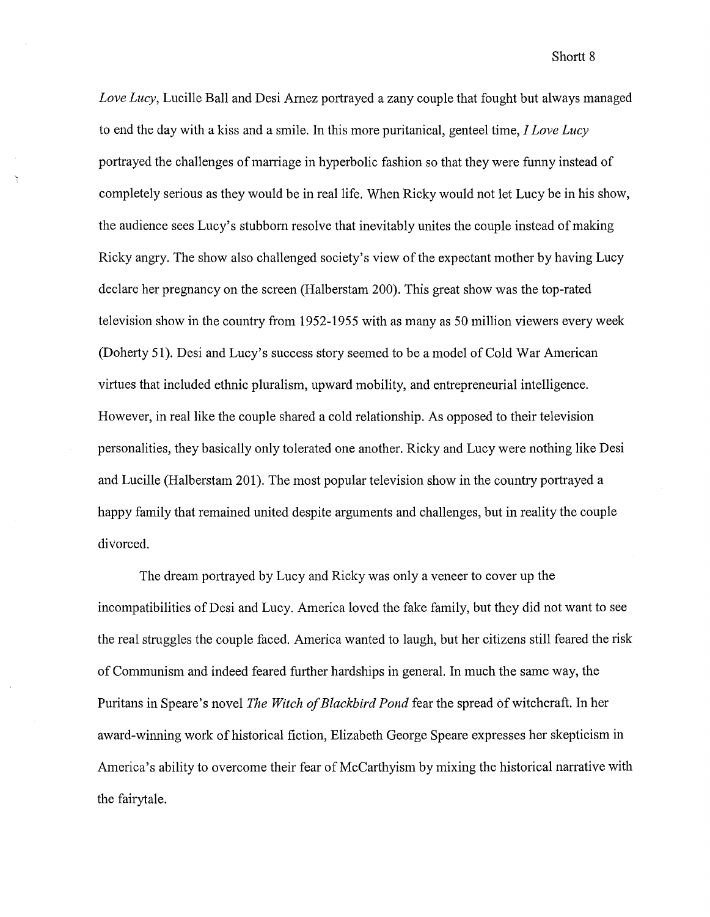*Love Lucy,* Lucille Ball and Desi Amez portrayed a zany couple that fought but always managed to end the day with a kiss and a smile. In this more puritanical, genteel time, *I Love Lucy*  portrayed the challenges of marriage in hyperbolic fashion so that they were funny instead of completely serious as they would be in real life. When Ricky would not let Lucy be in his show, the audience sees Lucy's stubborn resolve that inevitably unites the couple instead of making Ricky angry. The show also challenged society's view of the expectant mother by having Lucy declare her pregnancy on the screen (Halberstam 200). This great show was the top-rated television show in the country from 1952-1955 with as many as 50 million viewers every week (Doherty 51). Desi and Lucy's success story seemed to be a model of Cold War American virtues that included ethnic pluralism, upward mobility, and entrepreneurial intelligence. However, in real like the couple shared a cold relationship. As opposed to their television personalities, they basically only tolerated one another. Ricky and Lucy were nothing like Desi and Lucille (Halberstam 201). The most popular television show in the country portrayed a happy family that remained united despite arguments and challenges, but in reality the couple divorced.

À

The dream portrayed by Lucy and Ricky was only a veneer to cover up the incompatibilities of Desi and Lucy. America loved the fake family, but they did not want to see the real struggles the couple faced. America wanted to laugh, but her citizens still feared the risk of Communism and indeed feared further hardships in general. In much the same way, the Puritans in Speare's novel *The Witch of Blackbird Pond* fear the spread of witchcraft. In her award-winning work of historical fiction, Elizabeth George Speare expresses her skepticism in America's ability to overcome their fear of McCarthyism by mixing the historical narrative with the fairytale.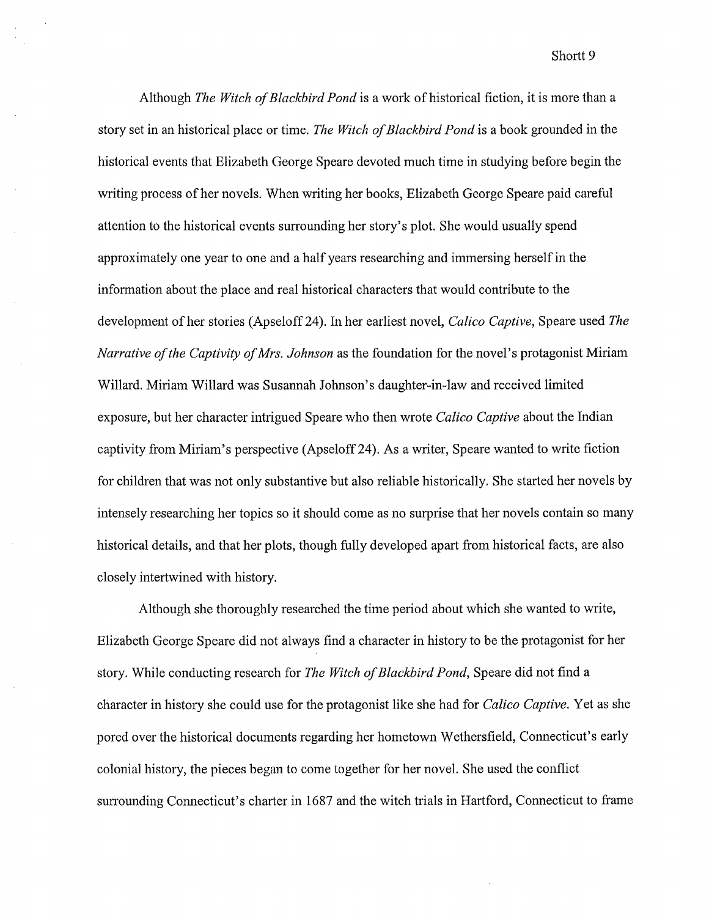Shortt 9

Although *The Witch of Blackbird Pond* is a work of historical fiction, it is more than a story set in an historical place or time. *The Witch of Blackbird Pond* is a book grounded in the historical events that Elizabeth George Speare devoted much time in studying before begin the writing process of her novels. When writing her books, Elizabeth George Speare paid careful attention to the historical events surrounding her story's plot. She would usually spend approximately one year to one and a half years researching and immersing herself in the information about the place and real historical characters that would contribute to the development of her stories (Apseloff 24). In her earliest novel, *Calico Captive*, Speare used *The Narrative ofthe Captivity of Mrs. Johnson* as the foundation for the novel's protagonist Miriam Willard. Miriam Willard was Susannah Johnson's daughter-in-law and received limited exposure, but her character intrigued Speare who then wrote *Calico Captive* about the Indian captivity from Miriam's perspective (Apseloff24). As a writer, Speare wanted to write fiction for children that was not only substantive but also reliable historically. She started her novels by intensely researching her topics so it should come as no surprise that her novels contain so many historical details, and that her plots, though fully developed apart from historical facts, are also closely intertwined with history.

Although she thoroughly researched the time period about which she wanted to write, Elizabeth George Speare did not always find a character in history to be the protagonist for her story. While conducting research for *The Witch of Blackbird Pond,* Speare did not find a character in history she could use for the protagonist like she had for *Calico Captive.* Yet as she pored over the historical documents regarding her hometown Wethersfield, Connecticut's early colonial history, the pieces began to come together for her novel. She used the conflict surrounding Connecticut's charter in 1687 and the witch trials in Hartford, Connecticut to frame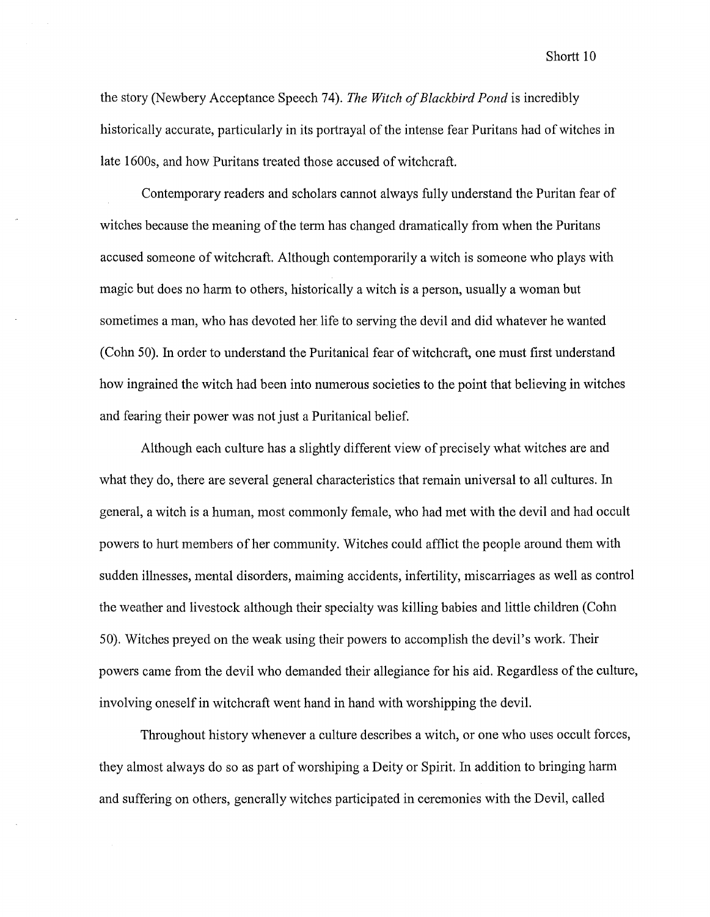Shortt<sub>10</sub>

the story (Newbery Acceptance Speech 74). *The Witch of Blackbird Pond* is incredibly historically accurate, particularly in its portrayal of the intense fear Puritans had of witches in late 1600s, and how Puritans treated those accused of witchcraft.

Contemporary readers and scholars cannot always fully understand the Puritan fear of witches because the meaning of the term has changed dramatically from when the Puritans accused someone of witchcraft. Although contemporarily a witch is someone who plays with magic but does no harm to others, historically a witch is a person, usually a woman but sometimes a man, who has devoted her life to serving the devil and did whatever he wanted (Cohn 50). In order to understand the Puritanical fear of witchcraft, one must first understand how ingrained the witch had been into numerous societies to the point that believing in witches and fearing their power was not just a Puritanical belief.

Although each culture has a slightly different view of precisely what witches are and what they do, there are several general characteristics that remain universal to all cultures. In general, a witch is a human, most commonly female, who had met with the devil and had occult powers to hurt members of her community. Witches could afflict the people around them with sudden illnesses, mental disorders, maiming accidents, infertility, miscarriages as well as control the weather and livestock although their specialty was killing babies and little children (Cohn 50). Witches preyed on the weak using their powers to accomplish the devil's work. Their powers came from the devil who demanded their allegiance for his aid. Regardless of the culture, involving oneself in witchcraft went hand in hand with worshipping the devil.

Throughout history whenever a culture describes a witch, or one who uses occult forces, they almost always do so as part of worshiping a Deity or Spirit. In addition to bringing harm and suffering on others, generally witches participated in ceremonies with the Devil, called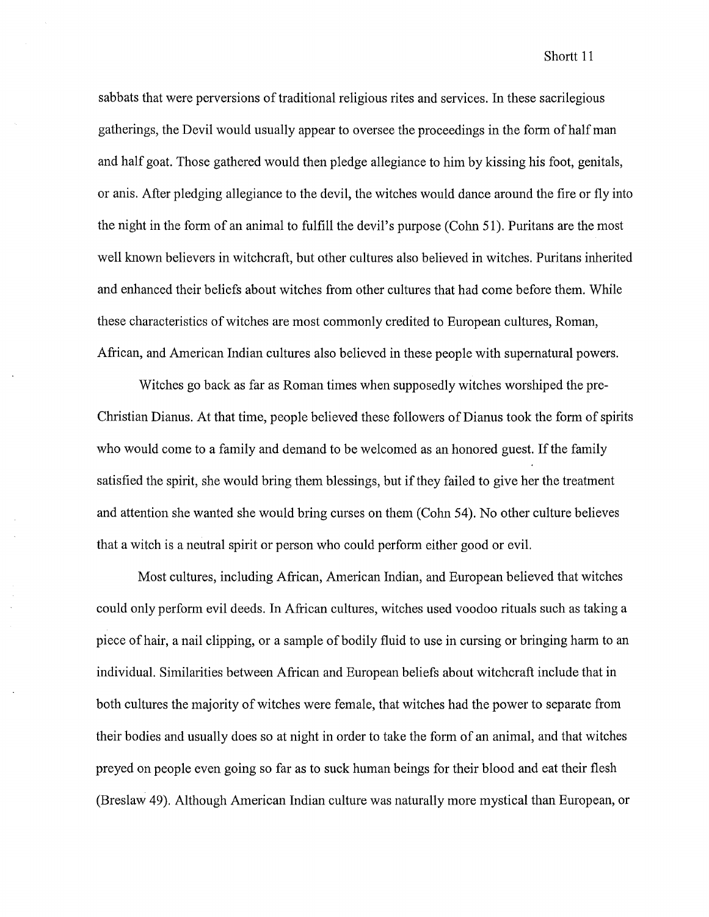sabbats that were perversions of traditional religious rites and services. In these sacrilegious gatherings, the Devil would usually appear to oversee the proceedings in the form ofhalfman and half goat. Those gathered would then pledge allegiance to him by kissing his foot, genitals, or anis. After pledging allegiance to the devil, the witches would dance around the fire or fly into the night in the form of an animal to fulfill the devil's purpose (Cohn 51). Puritans are the most well known believers in witchcraft, but other cultures also believed in witches. Puritans inherited and enhanced their beliefs about witches from other cultures that had come before them. While these characteristics of witches are most commonly credited to European cultures, Roman, African, and American Indian cultures also believed in these people with supernatural powers.

Witches go back as far as Roman times when supposedly witches worshiped the pre-Christian Dianus. At that time, people believed these followers of Dianus took the form of spirits who would come to a family and demand to be welcomed as an honored guest. If the family satisfied the spirit, she would bring them blessings, but if they failed to give her the treatment and attention she wanted she would bring curses on them (Cohn 54). No other culture believes that a witch is a neutral spirit or person who could perform either good or evil.

Most cultures, including African, American Indian, and European believed that witches could only perform evil deeds. In African cultures, witches used voodoo rituals such as taking a piece of hair, a nail clipping, or a sample of bodily fluid to use in cursing or bringing harm to an individual. Similarities between African and European beliefs about witchcraft include that in both cultures the majority of witches were female, that witches had the power to separate from their bodies and usually does so at night in order to take the form of an animal, and that witches preyed on people even going so far as to suck human beings for their blood and eat their flesh (Breslaw 49). Although American Indian culture was naturally more mystical than European, or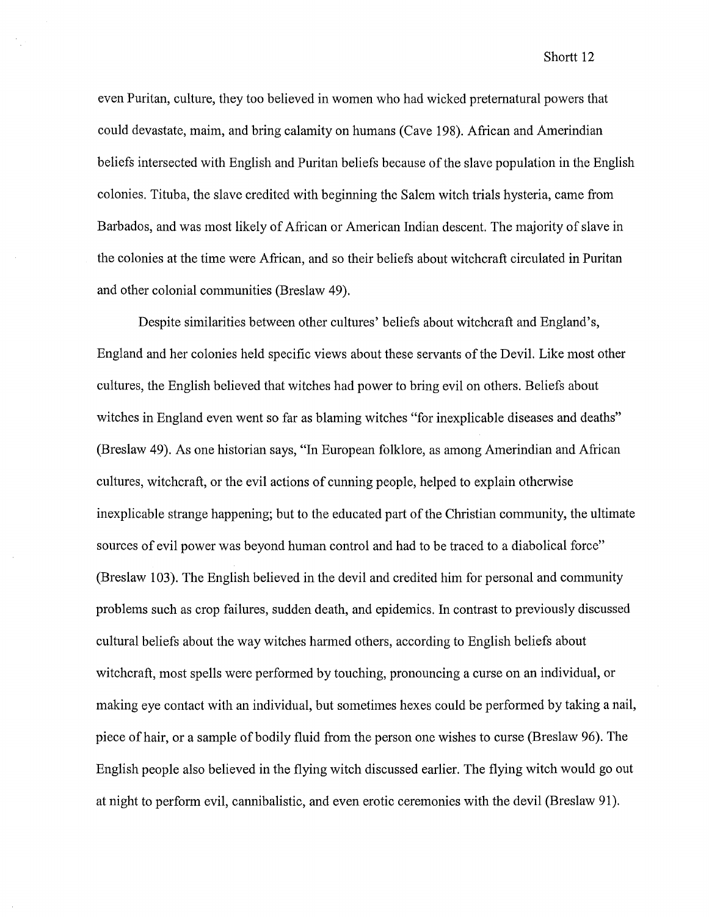even Puritan, culture, they too believed in women who had wicked preternatural powers that could devastate, maim, and bring calamity on humans (Cave 198). African and Amerindian beliefs intersected with English and Puritan beliefs because of the slave population in the English colonies. Tituba, the slave credited with beginning the Salem witch trials hysteria, came from Barbados, and was most likely of African or American Indian descent. The majority of slave in the colonies at the time were African, and so their beliefs about witchcraft circulated in Puritan and other colonial communities (Breslaw 49).

Despite similarities between other cultures' beliefs about witchcraft and England's, England and her colonies held specific views about these servants of the Devil. Like most other cultures, the English believed that witches had power to bring evil on others. Beliefs about witches in England even went so far as blaming witches "for inexplicable diseases and deaths" (Breslaw 49). As one historian says, "In European folklore, as among Amerindian and African cultures, witchcraft, or the evil actions of cunning people, helped to explain otherwise inexplicable strange happening; but to the educated part of the Christian community, the ultimate sources of evil power was beyond human control and had to be traced to a diabolical force" (Breslaw 103). The English believed in the devil and credited him for personal and community problems such as crop failures, sudden death, and epidemics. In contrast to previously discussed cultural beliefs about the way witches harmed others, according to English beliefs about witchcraft, most spells were performed by touching, pronouncing a curse on an individual, or making eye contact with an individual, but sometimes hexes could be performed by taking a nail, piece of hair, or a sample of bodily fluid from the person one wishes to curse (Breslaw 96). The English people also believed in the flying witch discussed earlier. The flying witch would go out at night to perform evil, cannibalistic, and even erotic ceremonies with the devil (Breslaw 91).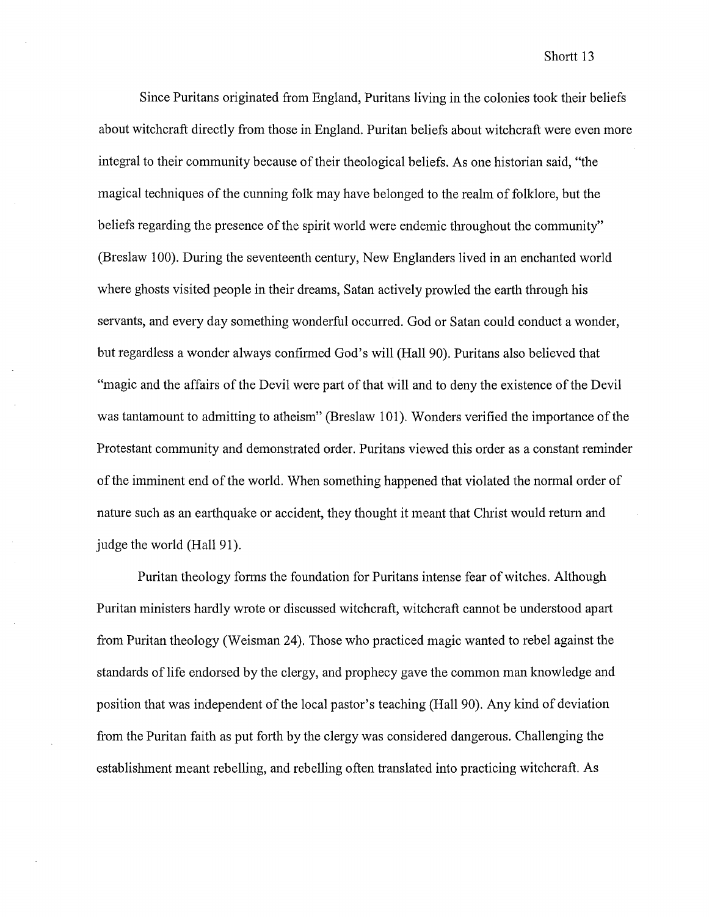#### Shortt<sub>13</sub>

Since Puritans originated from England, Puritans living in the colonies took their beliefs about witchcraft directly from those in England. Puritan beliefs about witchcraft were even more integral to their community because of their theological beliefs. As one historian said, "the magical techniques of the cunning folk may have belonged to the realm of folklore, but the beliefs regarding the presence of the spirit world were endemic throughout the community" (Breslaw 100). During the seventeenth century, New Englanders lived in an enchanted world where ghosts visited people in their dreams, Satan actively prowled the earth through his servants, and every day something wonderful occurred. God or Satan could conduct a wonder, but regardless a wonder always confirmed God's will (Hall90). Puritans also believed that "magic and the affairs of the Devil were part of that will and to deny the existence of the Devil was tantamount to admitting to atheism" (Breslaw 101). Wonders verified the importance of the Protestant community and demonstrated order. Puritans viewed this order as a constant reminder of the imminent end of the world. When something happened that violated the normal order of nature such as an earthquake or accident, they thought it meant that Christ would return and judge the world (Hall 91).

Puritan theology forms the foundation for Puritans intense fear of witches. Although Puritan ministers hardly wrote or discussed witchcraft, witchcraft cannot be understood apart from Puritan theology (Weisman 24). Those who practiced magic wanted to rebel against the standards of life endorsed by the clergy, and prophecy gave the common man knowledge and position that was independent of the local pastor's teaching (Hall 90). Any kind of deviation from the Puritan faith as put forth by the clergy was considered dangerous. Challenging the establishment meant rebelling, and rebelling often translated into practicing witchcraft. As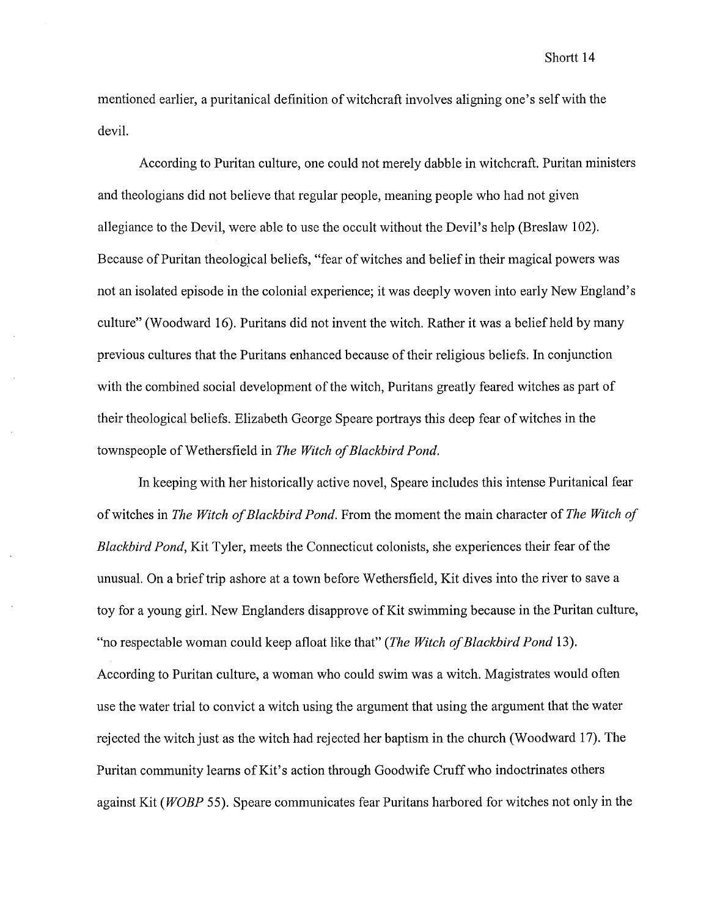mentioned earlier, a puritanical definition of witchcraft involves aligning one's selfwith the devil.

According to Puritan culture, one could not merely dabble in witchcraft. Puritan ministers and theologians did not believe that regular people, meaning people who had not given allegiance to the Devil, were able to use the occult without the Devil's help (Breslaw 102). Because of Puritan theological beliefs, "fear of witches and belief in their magical powers was not an isolated episode in the colonial experience; it was deeply woven into early New England's culture" (Woodward 16). Puritans did not invent the witch. Rather it was a belief held by many previous cultures that the Puritans enhanced because of their religious beliefs. In conjunction with the combined social development of the witch, Puritans greatly feared witches as part of their theological beliefs. Elizabeth George Speare portrays this deep fear of witches in the townspeople of Wethersfield in *The Witch of Blackbird Pond.* 

In keeping with her historically active novel, Speare includes this intense Puritanical fear of witches in *The Witch of Blackbird Pond.* From the moment the main character of *The Witch of Blackbird Pond,* Kit Tyler, meets the Connecticut colonists, she experiences their fear of the unusual. On a brief trip ashore at a town before Wethersfield, Kit dives into the river to save a toy for a young girl. New Englanders disapprove of Kit swimming because in the Puritan culture, "no respectable woman could keep afloat like that" *(The Witch of Blackbird Pond* 13). According to Puritan culture, a woman who could swim was a witch. Magistrates would often use the water trial to convict a witch using the argument that using the argument that the water rejected the witch just as the witch had rejected her baptism in the church (Woodward 17). The Puritan community learns of Kit's action through Goodwife Cruff who indoctrinates others against Kit *(WOBP* 55). Speare communicates fear Puritans harbored for witches not only in the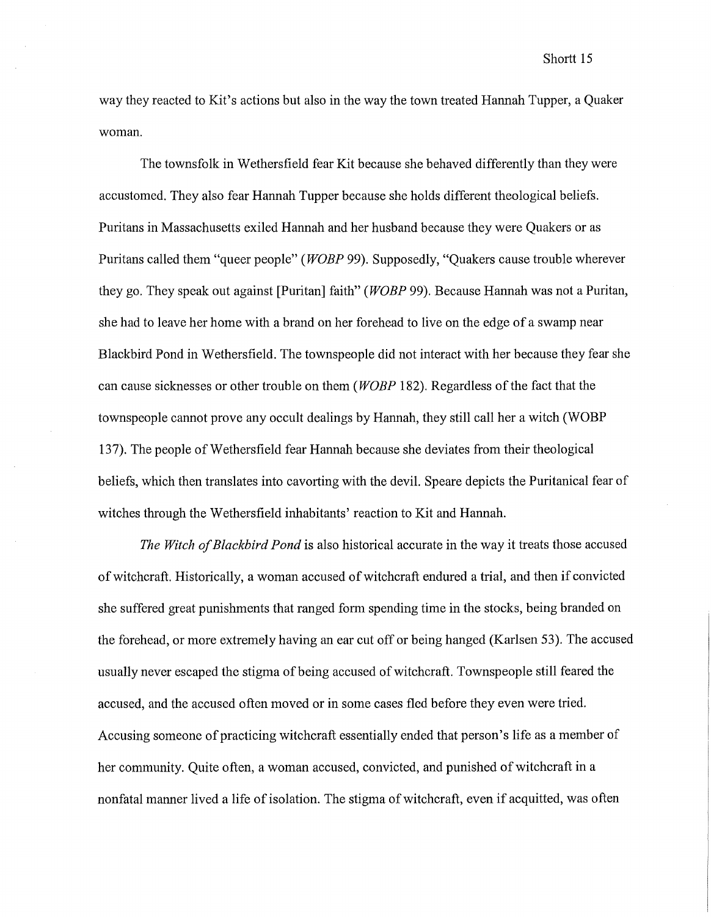way they reacted to Kit's actions but also in the way the town treated Hannah Tupper, a Quaker woman.

The townsfolk in Wethersfield fear Kit because she behaved differently than they were accustomed. They also fear Hannah Tupper because she holds different theological beliefs. Puritans in Massachusetts exiled Hannah and her husband because they were Quakers or as Puritans called them "queer people" *(WOBP* 99). Supposedly, "Quakers cause trouble wherever they go. They speak out against [Puritan] faith" *(WOBP* 99). Because Hannah was not a Puritan, she had to leave her home with a brand on her forehead to live on the edge of a swamp near Blackbird Pond in Wethersfield. The townspeople did not interact with her because they fear she can cause sicknesses or other trouble on them *(WOBP* 182). Regardless of the fact that the townspeople cannot prove any occult dealings by Hannah, they still call her a witch (WOBP 137). The people of Wethersfield fear Hannah because she deviates from their theological beliefs, which then translates into cavorting with the devil. Speare depicts the Puritanical fear of witches through the Wethersfield inhabitants' reaction to Kit and Hannah.

*The Witch of Blackbird Pond* is also historical accurate in the way it treats those accused of witchcraft. Historically, a woman accused of witchcraft endured a trial, and then if convicted she suffered great punishments that ranged form spending time in the stocks, being branded on the forehead, or more extremely having an ear cut off or being hanged (Karlsen 53). The accused usually never escaped the stigma of being accused of witchcraft. Townspeople still feared the accused, and the accused often moved or in some cases fled before they even were tried. Accusing someone of practicing witchcraft essentially ended that person's life as a member of her community. Quite often, a woman accused, convicted, and punished of witchcraft in a nonfatal manner lived a life of isolation. The stigma of witchcraft, even if acquitted, was often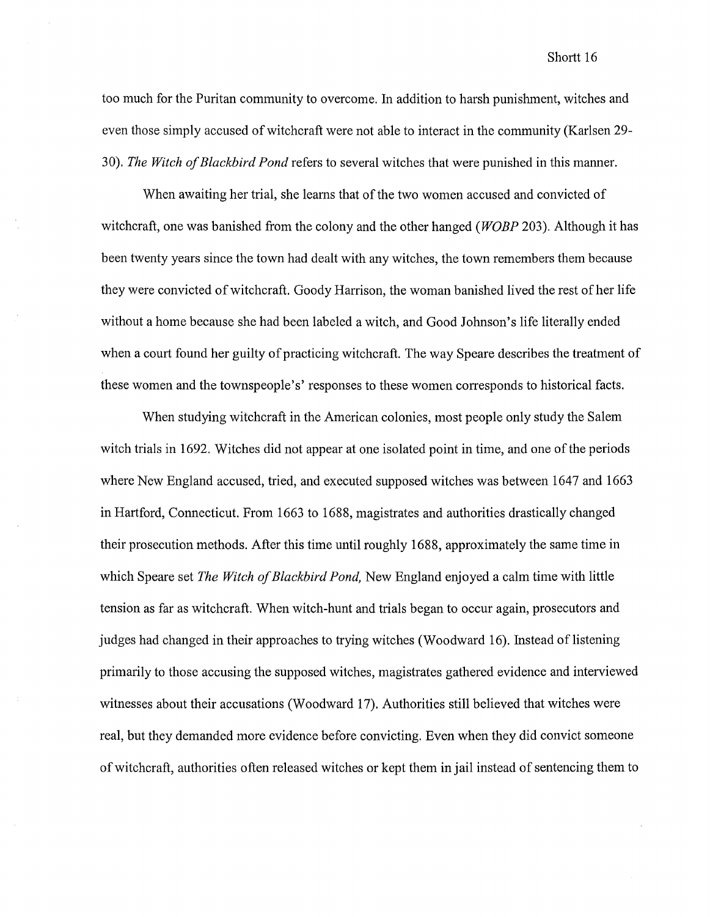#### Shortt<sub>16</sub>

too much for the Puritan community to overcome. In addition to harsh punishment, witches and even those simply accused of witchcraft were not able to interact in the community (Karlsen 29- 30). *The Witch of Blackbird Pond* refers to several witches that were punished in this manner.

When awaiting her trial, she learns that of the two women accused and convicted of witchcraft, one was banished from the colony and the other hanged *(WOBP* 203). Although it has been twenty years since the town had dealt with any witches, the town remembers them because they were convicted of witchcraft. Goody Harrison, the woman banished lived the rest of her life without a home because she had been labeled a witch, and Good Johnson's life literally ended when a court found her guilty of practicing witchcraft. The way Speare describes the treatment of these women and the townspeople's' responses to these women corresponds to historical facts.

When studying witchcraft in the American colonies, most people only study the Salem witch trials in 1692. Witches did not appear at one isolated point in time, and one of the periods where New England accused, tried, and executed supposed witches was between 1647 and 1663 in Hartford, Connecticut. From 1663 to 1688, magistrates and authorities drastically changed their prosecution methods. After this time until roughly 1688, approximately the same time in which Speare set *The Witch of Blackbird Pond,* New England enjoyed a calm time with little tension as far as witchcraft. When witch-hunt and trials began to occur again, prosecutors and judges had changed in their approaches to trying witches (Woodward 16). Instead of listening primarily to those accusing the supposed witches, magistrates gathered evidence and interviewed witnesses about their accusations (Woodward 17). Authorities still believed that witches were real, but they demanded more evidence before convicting. Even when they did convict someone of witchcraft, authorities often released witches or kept them in jail instead of sentencing them to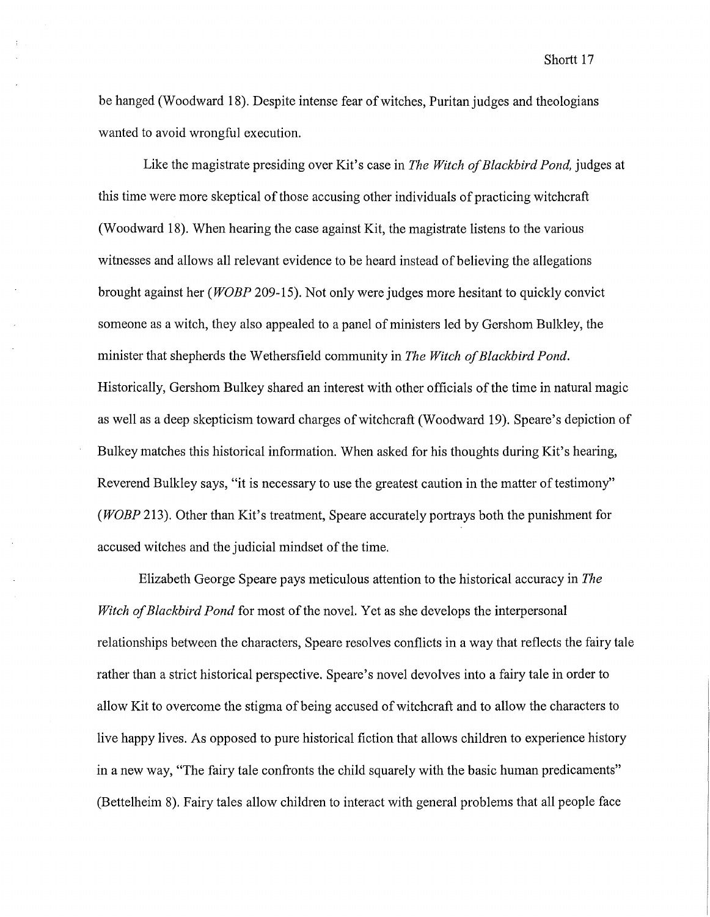be hanged (Woodward 18). Despite intense fear of witches, Puritan judges and theologians wanted to avoid wrongful execution.

Like the magistrate presiding over Kit's case in *The Witch of Blackbird Pond,* judges at this time were more skeptical of those accusing other individuals of practicing witchcraft (Woodward 18). When hearing the case against Kit, the magistrate listens to the various witnesses and allows all relevant evidence to be heard instead of believing the allegations brought against her ( *WOBP* 209-15). Not only were judges more hesitant to quickly convict someone as a witch, they also appealed to a panel of ministers led by Gershom Bulkley, the minister that shepherds the Wethersfield community in *The Witch of Blackbird Pond.*  Historically, Gershom Bulkey shared an interest with other officials of the time in natural magic as well as a deep skepticism toward charges ofwitchcraft (Woodward 19). Speare's depiction of Bulkey matches this historical information. When asked for his thoughts during Kit's hearing, Reverend Bulkley says, "it is necessary to use the greatest caution in the matter of testimony" *(WOBP* 213). Other than Kit's treatment, Speare accurately portrays both the punishment for accused witches and the judicial mindset of the time.

Elizabeth George Speare pays meticulous attention to the historical accuracy in *The Witch of Blackbird Pond* for most of the novel. Yet as she develops the interpersonal relationships between the characters, Speare resolves conflicts in a way that reflects the fairy tale rather than a strict historical perspective. Speare's novel devolves into a fairy tale in order to allow Kit to overcome the stigma of being accused of witchcraft and to allow the characters to live happy lives. As opposed to pure historical fiction that allows children to experience history in a new way, "The fairy tale confronts the child squarely with the basic human predicaments" (Bettelheim 8). Fairy tales allow children to interact with general problems that all people face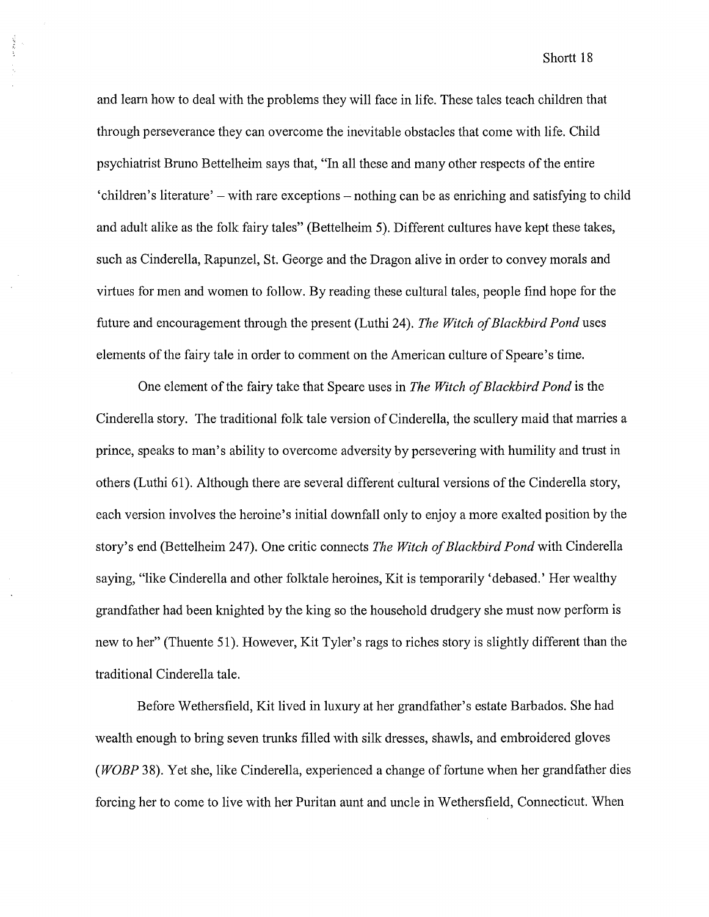and learn how to deal with the problems they will face in life. These tales teach children that through perseverance they can overcome the inevitable obstacles that come with life. Child psychiatrist Bruno Bettelheim says that, "In all these and many other respects of the entire 'children's literature'- with rare exceptions- nothing can be as enriching and satisfying to child and adult alike as the folk fairy tales" (Bettelheim 5). Different cultures have kept these takes, such as Cinderella, Rapunzel, St. George and the Dragon alive in order to convey morals and virtues for men and women to follow. By reading these cultural tales, people find hope for the future and encouragement through the present (Luthi 24). *The Witch of Blackbird Pond* uses elements of the fairy tale in order to comment on the American culture of Speare's time.

**CRASH** 

One element of the fairy take that Speare uses in *The Witch of Blackbird Pond* is the Cinderella story. The traditional folk tale version of Cinderella, the scullery maid that marries a prince, speaks to man's ability to overcome adversity by persevering with humility and trust in others (Luthi 61). Although there are several different cultural versions of the Cinderella story, each version involves the heroine's initial downfall only to enjoy a more exalted position by the story's end (Bettelheim 247). One critic connects *The Witch of Blackbird Pond* with Cinderella saying, "like Cinderella and other folktale heroines, Kit is temporarily 'debased.' Her wealthy grandfather had been knighted by the king so the household drudgery she must now perform is new to her" (Thuente 51). However, Kit Tyler's rags to riches story is slightly different than the traditional Cinderella tale.

Before Wethersfield, Kit lived in luxury at her grandfather's estate Barbados. She had wealth enough to bring seven trunks filled with silk dresses, shawls, and embroidered gloves *(WOBP* 38). Yet she, like Cinderella, experienced a change of fortune when her grandfather dies forcing her to come to live with her Puritan aunt and uncle in Wethersfield, Connecticut. When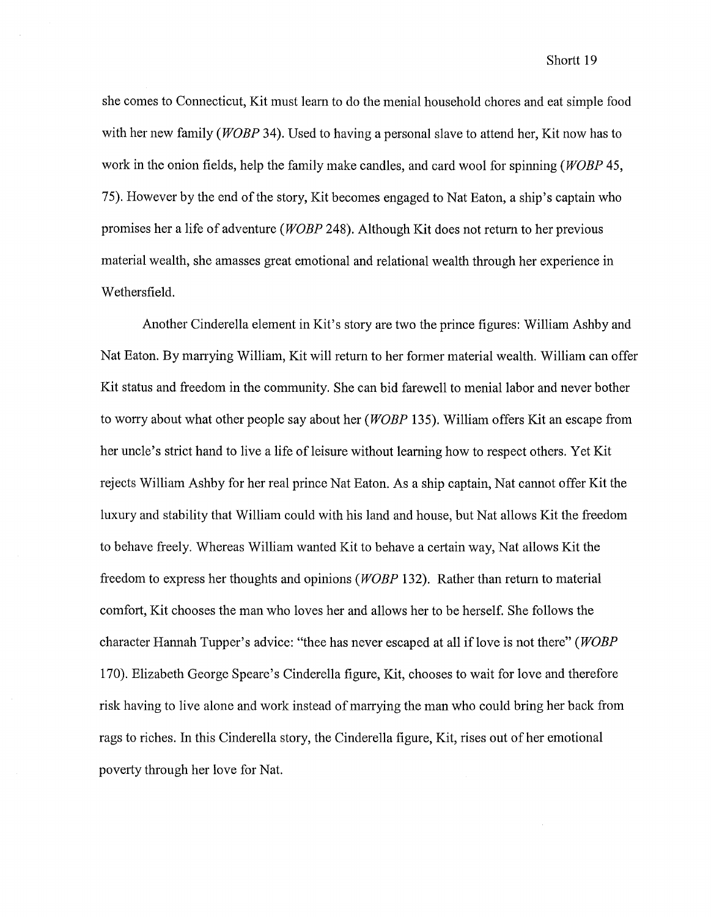Shortt<sub>19</sub>

she comes to Connecticut, Kit must learn to do the menial household chores and eat simple food with her new family *(WOBP* 34). Used to having a personal slave to attend her. Kit now has to work in the onion fields, help the family make candles, and card wool for spinning *(WOBP* 45, 75). However by the end of the story, Kit becomes engaged to Nat Eaton, a ship's captain who promises her a life of adventure *(WOBP* 248). Although Kit does not return to her previous material wealth, she amasses great emotional and relational wealth through her experience in Wethersfield.

Another Cinderella element in Kit's story are two the prince figures: William Ashby and Nat Eaton. By marrying William, Kit will return to her former material wealth. William can offer Kit status and freedom in the community. She can bid farewell to menial labor and never bother to worry about what other people say about her *(WOBP* 135). William offers Kit an escape from her uncle's strict hand to live a life of leisure without learning how to respect others. Yet Kit rejects William Ashby for her real prince Nat Eaton. As a ship captain, Nat cannot offer Kit the luxury and stability that William could with his land and house, but Nat allows Kit the freedom to behave freely. Whereas William wanted Kit to behave a certain way, Nat allows Kit the freedom to express her thoughts and opinions *(WOBP* 132). Rather than return to material comfort, Kit chooses the man who loves her and allows her to be herself. She follows the character Hannah Tupper's advice: "thee has never escaped at all iflove is not there" *(WOBP*  170). Elizabeth George Speare's Cinderella figure, Kit, chooses to wait for love and therefore risk having to live alone and work instead of marrying the man who could bring her back from rags to riches. In this Cinderella story, the Cinderella figure, Kit, rises out of her emotional poverty through her love for Nat.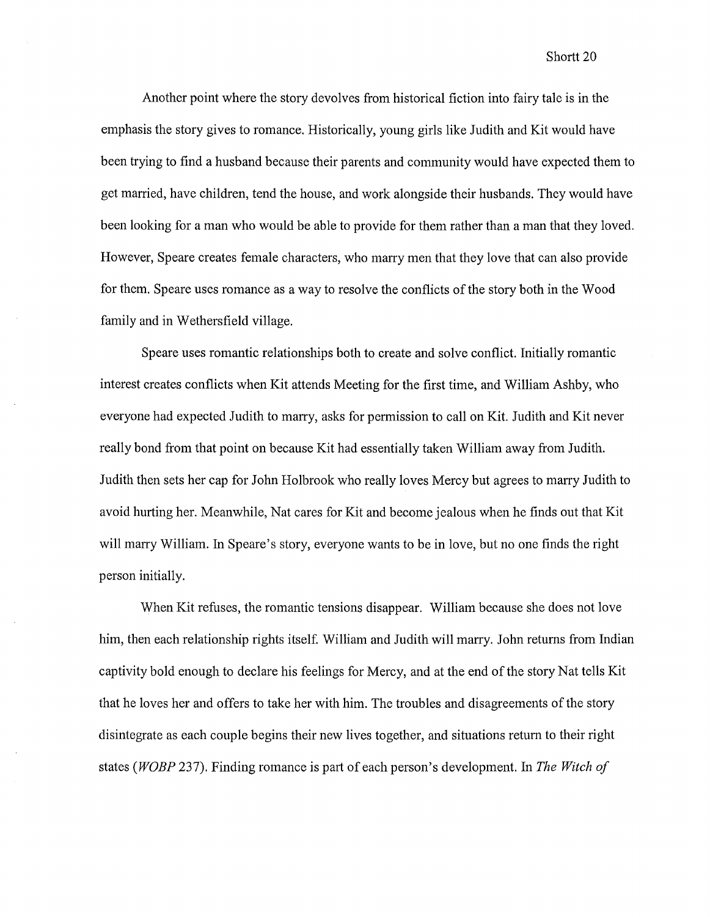Another point where the story devolves from historical fiction into fairy tale is in the emphasis the story gives to romance. Historically, young girls like Judith and Kit would have been trying to find a husband because their parents and community would have expected them to get married, have children, tend the house, and work alongside their husbands. They would have been looking for a man who would be able to provide for them rather than a man that they loved. However, Speare creates female characters, who marry men that they love that can also provide for them. Speare uses romance as a way to resolve the conflicts of the story both in the Wood family and in Wethersfield village.

Speare uses romantic relationships both to create and solve conflict. Initially romantic interest creates conflicts when Kit attends Meeting for the first time, and William Ashby, who everyone had expected Judith to marry, asks for permission to call on Kit. Judith and Kit never really bond from that point on because Kit had essentially taken William away from Judith. Judith then sets her cap for John Holbrook who really loves Mercy but agrees to marry Judith to avoid hurting her. Meanwhile, Nat cares for Kit and become jealous when he finds out that Kit will marry William. In Speare's story, everyone wants to be in love, but no one finds the right person initially.

When Kit refuses, the romantic tensions disappear. William because she does not love him, then each relationship rights itself. William and Judith will marry. John returns from Indian captivity bold enough to declare his feelings for Mercy, and at the end of the story Nat tells Kit that he loves her and offers to take her with him. The troubles and disagreements of the story disintegrate as each couple begins their new lives together, and situations return to their right states *(WOBP* 237). Finding romance is part of each person's development. In *The Witch of*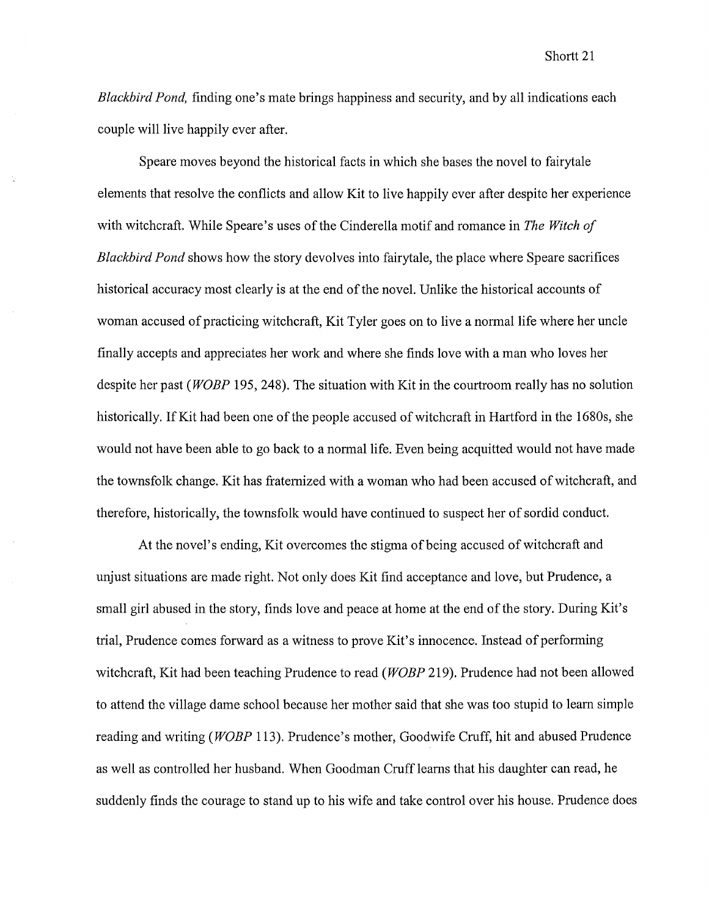*Blackbird Pond,* finding one's mate brings happiness and security, and by all indications each couple will live happily ever after.

Speare moves beyond the historical facts in which she bases the novel to fairytale elements that resolve the conflicts and allow Kit to live happily ever after despite her experience with witchcraft. While Speare's uses of the Cinderella motif and romance in *The Witch of Blackbird Pond* shows how the story devolves into fairytale, the place where Speare sacrifices historical accuracy most clearly is at the end of the novel. Unlike the historical accounts of woman accused of practicing witchcraft, Kit Tyler goes on to live a normal life where her uncle finally accepts and appreciates her work and where she finds love with a man who loves her despite her past *(WOBP* 195, 248). The situation with Kit in the courtroom really has no solution historically. If Kit had been one of the people accused of witchcraft in Hartford in the 1680s, she would not have been able to go back to a normal life. Even being acquitted would not have made the townsfolk change. Kit has fraternized with a woman who had been accused of witchcraft, and therefore, historically, the townsfolk would have continued to suspect her of sordid conduct.

At the novel's ending, Kit overcomes the stigma ofbeing accused of witchcraft and unjust situations are made right. Not only does Kit find acceptance and love, but Prudence, a small girl abused in the story, finds love and peace at home at the end of the story. During Kit's trial, Prudence comes forward as a witness to prove Kit's innocence. Instead of performing witchcraft, Kit had been teaching Prudence to read *(WOBP* 219). Prudence had not been allowed to attend the village dame school because her mother said that she was too stupid to learn simple reading and writing *(WOBP* 113). Prudence's mother, Goodwife Cruff, hit and abused Prudence as well as controlled her husband. When Goodman Cruff learns that his daughter can read, he suddenly finds the courage to stand up to his wife and take control over his house. Prudence does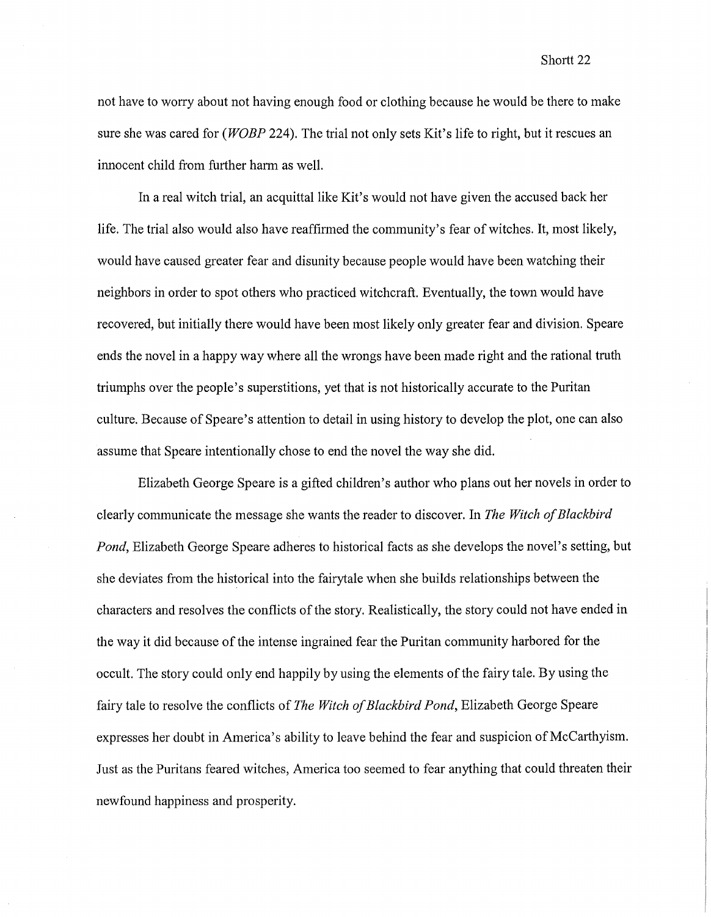not have to worry about not having enough food or clothing because he would be there to make sure she was cared for *(WOBP* 224). The trial not only sets Kit's life to right, but it rescues an innocent child from further harm as well.

In a real witch trial, an acquittal like Kit's would not have given the accused back her life. The trial also would also have reaffirmed the community's fear of witches. It, most likely, would have caused greater fear and disunity because people would have been watching their neighbors in order to spot others who practiced witchcraft. Eventually, the town would have recovered, but initially there would have been most likely only greater fear and division. Speare ends the novel in a happy way where all the wrongs have been made right and the rational truth triumphs over the people's superstitions, yet that is not historically accurate to the Puritan culture. Because of Speare's attention to detail in using history to develop the plot, one can also assume that Speare intentionally chose to end the novel the way she did.

Elizabeth George Speare is a gifted children's author who plans out her novels in order to clearly communicate the message she wants the reader to discover. In *The Witch of Blackbird Pond*, Elizabeth George Speare adheres to historical facts as she develops the novel's setting, but she deviates from the historical into the fairytale when she builds relationships between the characters and resolves the conflicts of the story. Realistically, the story could not have ended in the way it did because of the intense ingrained fear the Puritan community harbored for the occult. The story could only end happily by using the elements of the fairy tale. By using the fairy tale to resolve the conflicts of *The Witch of Blackbird Pond,* Elizabeth George Speare expresses her doubt in America's ability to leave behind the fear and suspicion of McCarthyism. Just as the Puritans feared witches, America too seemed to fear anything that could threaten their newfound happiness and prosperity.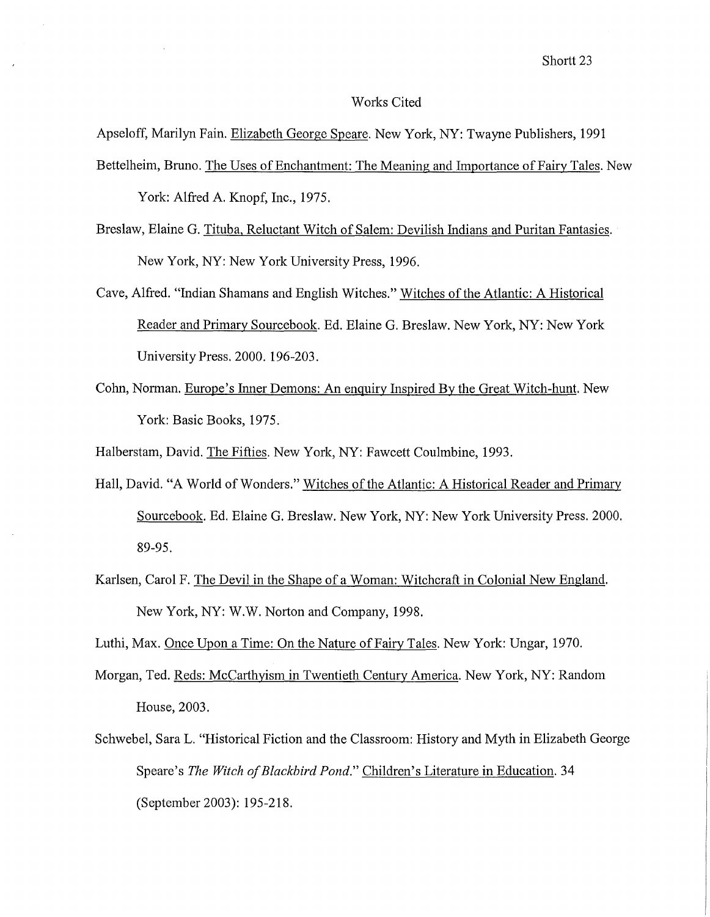#### Works Cited

Apseloff, Marilyn Fain. Elizabeth George Speare. New York, NY: Twayne Publishers, 1991

- Bettelheim, Bruno. The Uses of Enchantment: The Meaning and Importance of Fairy Tales. New York: Alfred A. Knopf, Inc., 1975.
- Breslaw, Elaine G. Tituba, Reluctant Witch of Salem: Devilish Indians and Puritan Fantasies. New York, NY: New York University Press, 1996.
- Cave, Alfred. "Indian Shamans and English Witches." Witches of the Atlantic: A Historical Reader and Primary Sourcebook. Ed. Elaine G. Breslaw. New York, NY: New York University Press. 2000. 196-203.
- Cohn, Norman. Europe's Inner Demons: An enquiry Inspired By the Great Witch-hunt. New York: Basic Books, 1975.

Halberstam, David. The Fifties. New York, NY: Fawcett Coulmbine, 1993.

- Hall, David. "A World of Wonders." Witches of the Atlantic: A Historical Reader and Primary Sourcebook. Ed. Elaine G. Breslaw. New York, NY: New York University Press. 2000. 89-95.
- Karlsen, Carol F. The Devil in the Shape of a Woman: Witchcraft in Colonial New England. New York, NY: W.W. Norton and Company, 1998.

Luthi, Max. Once Upon a Time: On the Nature of Fairy Tales. New York: Ungar, 1970.

- Morgan, Ted. Reds: McCarthyism in Twentieth Century America. New York, NY: Random House, 2003.
- Schwebel, Sara L. "Historical Fiction and the Classroom: History and Myth in Elizabeth George Speare's *The Witch of Blackbird Pond."* Children's Literature in Education. 34 (September 2003): 195-218.